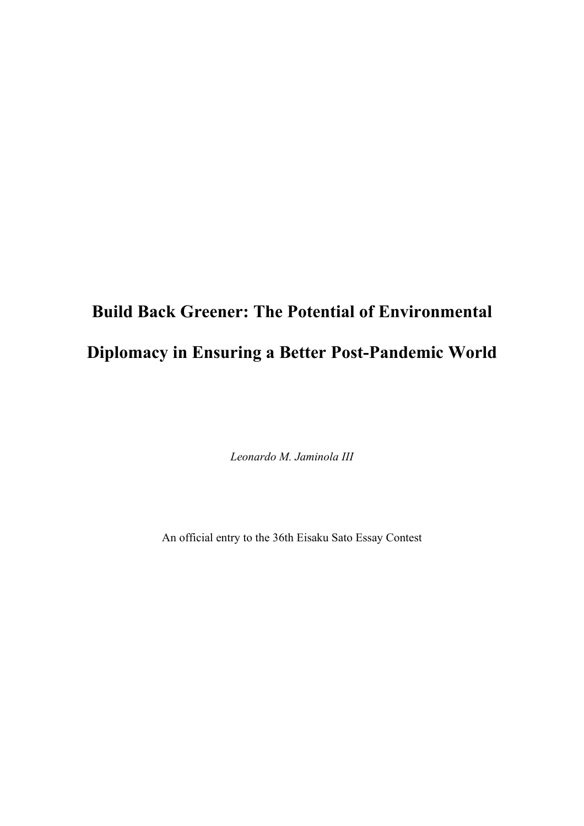# **Build Back Greener: The Potential of Environmental Diplomacy in Ensuring a Better Post-Pandemic World**

*Leonardo M. Jaminola III*

An official entry to the 36th Eisaku Sato Essay Contest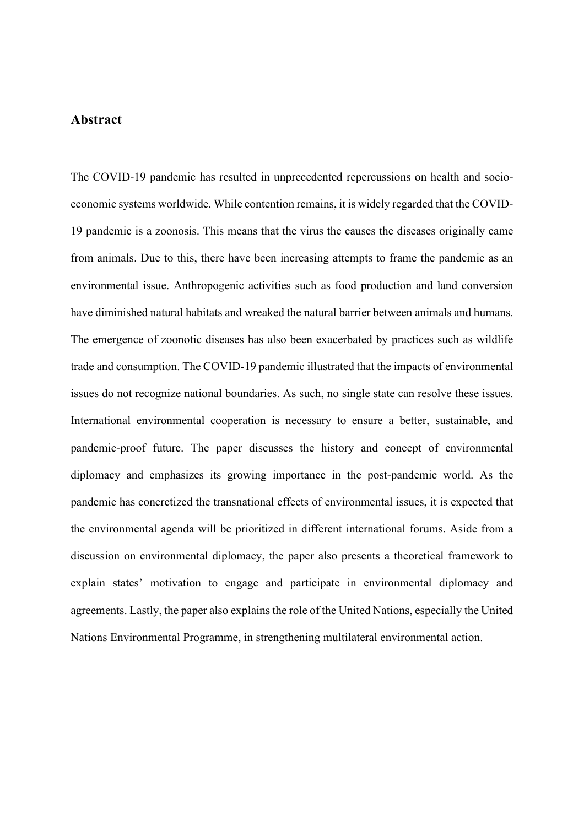## **Abstract**

The COVID-19 pandemic has resulted in unprecedented repercussions on health and socioeconomic systems worldwide. While contention remains, it is widely regarded that the COVID-19 pandemic is a zoonosis. This means that the virus the causes the diseases originally came from animals. Due to this, there have been increasing attempts to frame the pandemic as an environmental issue. Anthropogenic activities such as food production and land conversion have diminished natural habitats and wreaked the natural barrier between animals and humans. The emergence of zoonotic diseases has also been exacerbated by practices such as wildlife trade and consumption. The COVID-19 pandemic illustrated that the impacts of environmental issues do not recognize national boundaries. As such, no single state can resolve these issues. International environmental cooperation is necessary to ensure a better, sustainable, and pandemic-proof future. The paper discusses the history and concept of environmental diplomacy and emphasizes its growing importance in the post-pandemic world. As the pandemic has concretized the transnational effects of environmental issues, it is expected that the environmental agenda will be prioritized in different international forums. Aside from a discussion on environmental diplomacy, the paper also presents a theoretical framework to explain states' motivation to engage and participate in environmental diplomacy and agreements. Lastly, the paper also explains the role of the United Nations, especially the United Nations Environmental Programme, in strengthening multilateral environmental action.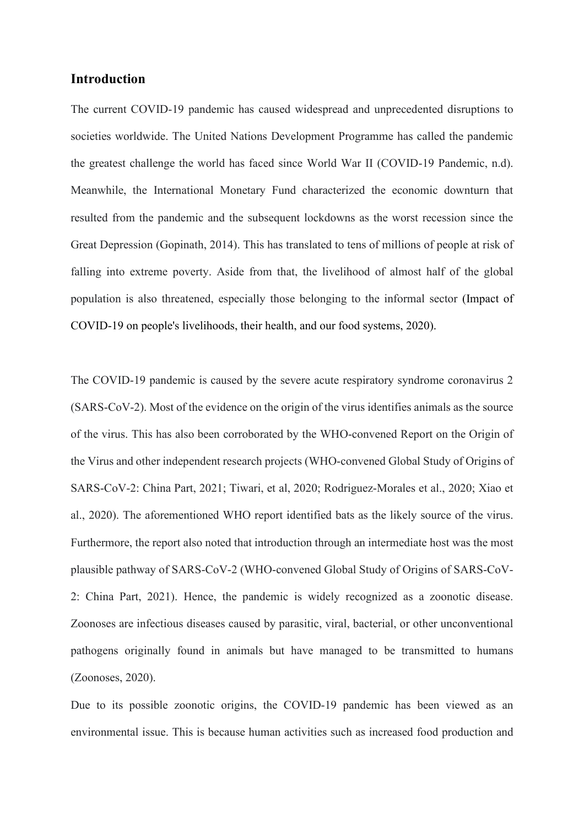### **Introduction**

The current COVID-19 pandemic has caused widespread and unprecedented disruptions to societies worldwide. The United Nations Development Programme has called the pandemic the greatest challenge the world has faced since World War II (COVID-19 Pandemic, n.d). Meanwhile, the International Monetary Fund characterized the economic downturn that resulted from the pandemic and the subsequent lockdowns as the worst recession since the Great Depression (Gopinath, 2014). This has translated to tens of millions of people at risk of falling into extreme poverty. Aside from that, the livelihood of almost half of the global population is also threatened, especially those belonging to the informal sector (Impact of COVID-19 on people's livelihoods, their health, and our food systems, 2020).

The COVID-19 pandemic is caused by the severe acute respiratory syndrome coronavirus 2 (SARS‑CoV‑2). Most of the evidence on the origin of the virus identifies animals as the source of the virus. This has also been corroborated by the WHO-convened Report on the Origin of the Virus and other independent research projects (WHO-convened Global Study of Origins of SARS-CoV-2: China Part, 2021; Tiwari, et al, 2020; Rodriguez-Morales et al., 2020; Xiao et al., 2020). The aforementioned WHO report identified bats as the likely source of the virus. Furthermore, the report also noted that introduction through an intermediate host was the most plausible pathway of SARS‑CoV‑2 (WHO-convened Global Study of Origins of SARS-CoV-2: China Part, 2021). Hence, the pandemic is widely recognized as a zoonotic disease. Zoonoses are infectious diseases caused by parasitic, viral, bacterial, or other unconventional pathogens originally found in animals but have managed to be transmitted to humans (Zoonoses, 2020).

Due to its possible zoonotic origins, the COVID-19 pandemic has been viewed as an environmental issue. This is because human activities such as increased food production and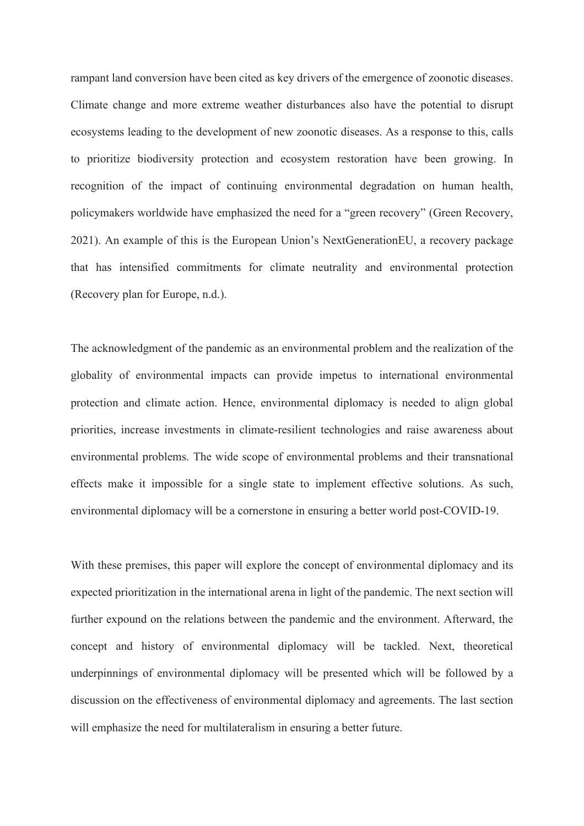rampant land conversion have been cited as key drivers of the emergence of zoonotic diseases. Climate change and more extreme weather disturbances also have the potential to disrupt ecosystems leading to the development of new zoonotic diseases. As a response to this, calls to prioritize biodiversity protection and ecosystem restoration have been growing. In recognition of the impact of continuing environmental degradation on human health, policymakers worldwide have emphasized the need for a "green recovery" (Green Recovery, 2021). An example of this is the European Union's NextGenerationEU, a recovery package that has intensified commitments for climate neutrality and environmental protection (Recovery plan for Europe, n.d.).

The acknowledgment of the pandemic as an environmental problem and the realization of the globality of environmental impacts can provide impetus to international environmental protection and climate action. Hence, environmental diplomacy is needed to align global priorities, increase investments in climate-resilient technologies and raise awareness about environmental problems. The wide scope of environmental problems and their transnational effects make it impossible for a single state to implement effective solutions. As such, environmental diplomacy will be a cornerstone in ensuring a better world post-COVID-19.

With these premises, this paper will explore the concept of environmental diplomacy and its expected prioritization in the international arena in light of the pandemic. The next section will further expound on the relations between the pandemic and the environment. Afterward, the concept and history of environmental diplomacy will be tackled. Next, theoretical underpinnings of environmental diplomacy will be presented which will be followed by a discussion on the effectiveness of environmental diplomacy and agreements. The last section will emphasize the need for multilateralism in ensuring a better future.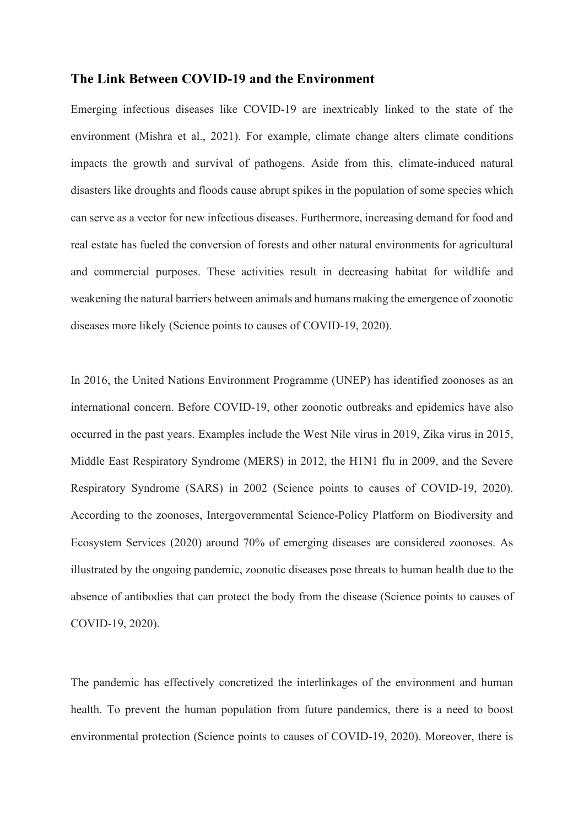## **The Link Between COVID-19 and the Environment**

Emerging infectious diseases like COVID-19 are inextricably linked to the state of the environment (Mishra et al., 2021). For example, climate change alters climate conditions impacts the growth and survival of pathogens. Aside from this, climate-induced natural disasters like droughts and floods cause abrupt spikes in the population of some species which can serve as a vector for new infectious diseases. Furthermore, increasing demand for food and real estate has fueled the conversion of forests and other natural environments for agricultural and commercial purposes. These activities result in decreasing habitat for wildlife and weakening the natural barriers between animals and humans making the emergence of zoonotic diseases more likely (Science points to causes of COVID-19, 2020).

In 2016, the United Nations Environment Programme (UNEP) has identified zoonoses as an international concern. Before COVID-19, other zoonotic outbreaks and epidemics have also occurred in the past years. Examples include the West Nile virus in 2019, Zika virus in 2015, Middle East Respiratory Syndrome (MERS) in 2012, the H1N1 flu in 2009, and the Severe Respiratory Syndrome (SARS) in 2002 (Science points to causes of COVID-19, 2020). According to the zoonoses, Intergovernmental Science-Policy Platform on Biodiversity and Ecosystem Services (2020) around 70% of emerging diseases are considered zoonoses. As illustrated by the ongoing pandemic, zoonotic diseases pose threats to human health due to the absence of antibodies that can protect the body from the disease (Science points to causes of COVID-19, 2020).

The pandemic has effectively concretized the interlinkages of the environment and human health. To prevent the human population from future pandemics, there is a need to boost environmental protection (Science points to causes of COVID-19, 2020). Moreover, there is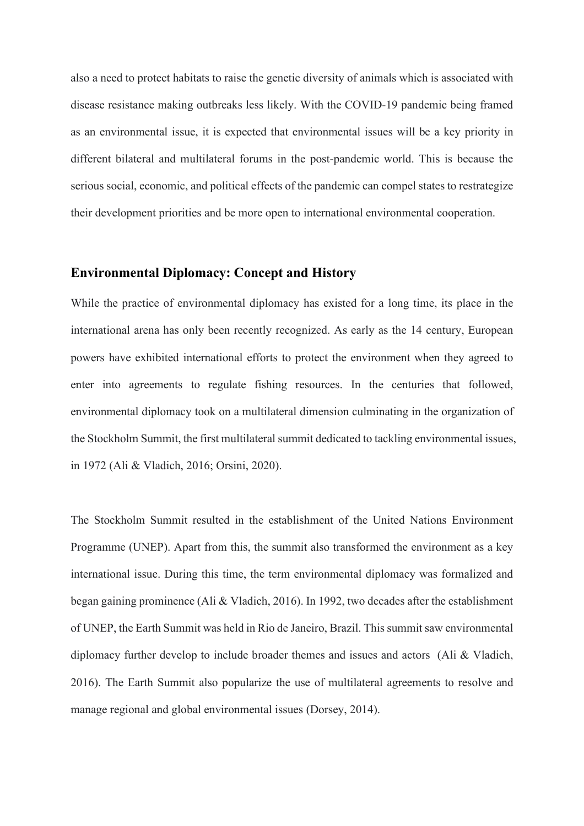also a need to protect habitats to raise the genetic diversity of animals which is associated with disease resistance making outbreaks less likely. With the COVID-19 pandemic being framed as an environmental issue, it is expected that environmental issues will be a key priority in different bilateral and multilateral forums in the post-pandemic world. This is because the serious social, economic, and political effects of the pandemic can compel states to restrategize their development priorities and be more open to international environmental cooperation.

#### **Environmental Diplomacy: Concept and History**

While the practice of environmental diplomacy has existed for a long time, its place in the international arena has only been recently recognized. As early as the 14 century, European powers have exhibited international efforts to protect the environment when they agreed to enter into agreements to regulate fishing resources. In the centuries that followed, environmental diplomacy took on a multilateral dimension culminating in the organization of the Stockholm Summit, the first multilateral summit dedicated to tackling environmental issues, in 1972 (Ali & Vladich, 2016; Orsini, 2020).

The Stockholm Summit resulted in the establishment of the United Nations Environment Programme (UNEP). Apart from this, the summit also transformed the environment as a key international issue. During this time, the term environmental diplomacy was formalized and began gaining prominence (Ali & Vladich, 2016). In 1992, two decades after the establishment of UNEP, the Earth Summit was held in Rio de Janeiro, Brazil. This summit saw environmental diplomacy further develop to include broader themes and issues and actors (Ali & Vladich, 2016). The Earth Summit also popularize the use of multilateral agreements to resolve and manage regional and global environmental issues (Dorsey, 2014).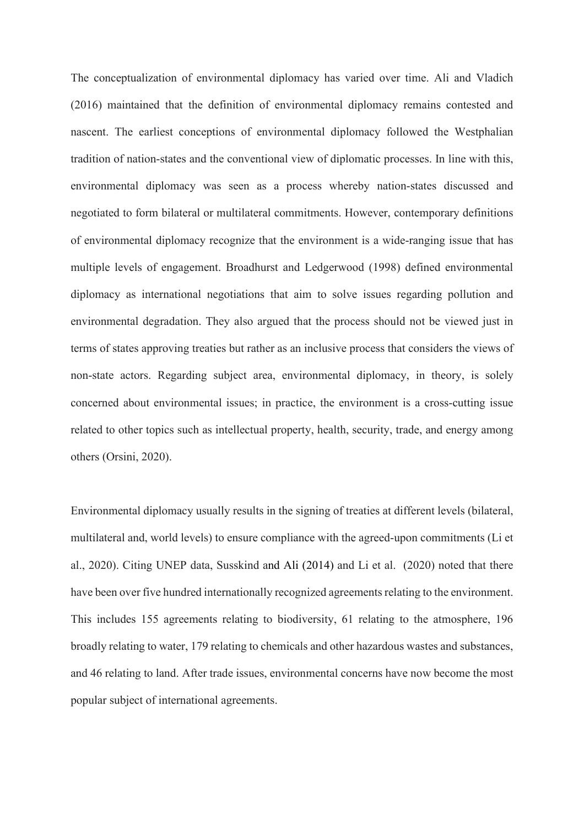The conceptualization of environmental diplomacy has varied over time. Ali and Vladich (2016) maintained that the definition of environmental diplomacy remains contested and nascent. The earliest conceptions of environmental diplomacy followed the Westphalian tradition of nation-states and the conventional view of diplomatic processes. In line with this, environmental diplomacy was seen as a process whereby nation-states discussed and negotiated to form bilateral or multilateral commitments. However, contemporary definitions of environmental diplomacy recognize that the environment is a wide-ranging issue that has multiple levels of engagement. Broadhurst and Ledgerwood (1998) defined environmental diplomacy as international negotiations that aim to solve issues regarding pollution and environmental degradation. They also argued that the process should not be viewed just in terms of states approving treaties but rather as an inclusive process that considers the views of non-state actors. Regarding subject area, environmental diplomacy, in theory, is solely concerned about environmental issues; in practice, the environment is a cross-cutting issue related to other topics such as intellectual property, health, security, trade, and energy among others (Orsini, 2020).

Environmental diplomacy usually results in the signing of treaties at different levels (bilateral, multilateral and, world levels) to ensure compliance with the agreed-upon commitments (Li et al., 2020). Citing UNEP data, Susskind and Ali (2014) and Li et al. (2020) noted that there have been over five hundred internationally recognized agreements relating to the environment. This includes 155 agreements relating to biodiversity, 61 relating to the atmosphere, 196 broadly relating to water, 179 relating to chemicals and other hazardous wastes and substances, and 46 relating to land. After trade issues, environmental concerns have now become the most popular subject of international agreements.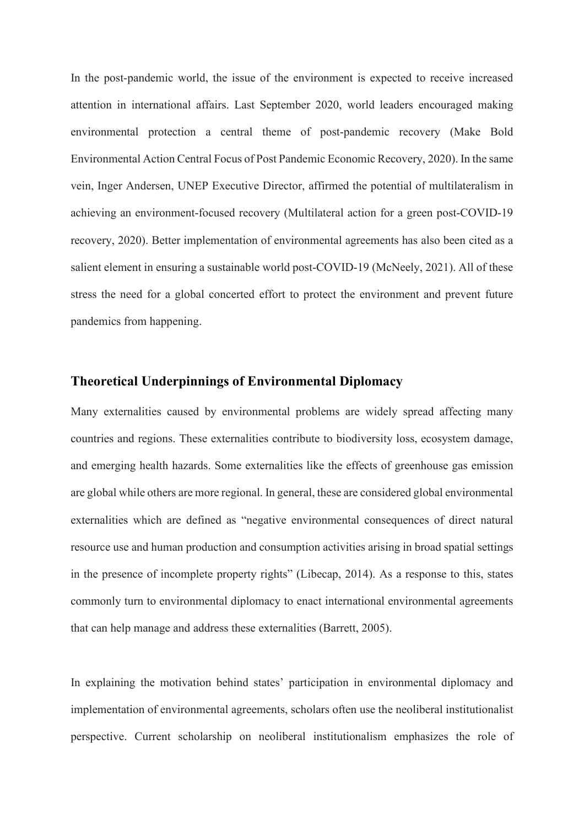In the post-pandemic world, the issue of the environment is expected to receive increased attention in international affairs. Last September 2020, world leaders encouraged making environmental protection a central theme of post-pandemic recovery (Make Bold Environmental Action Central Focus of Post Pandemic Economic Recovery, 2020). In the same vein, Inger Andersen, UNEP Executive Director, affirmed the potential of multilateralism in achieving an environment-focused recovery (Multilateral action for a green post-COVID-19 recovery, 2020). Better implementation of environmental agreements has also been cited as a salient element in ensuring a sustainable world post-COVID-19 (McNeely, 2021). All of these stress the need for a global concerted effort to protect the environment and prevent future pandemics from happening.

## **Theoretical Underpinnings of Environmental Diplomacy**

Many externalities caused by environmental problems are widely spread affecting many countries and regions. These externalities contribute to biodiversity loss, ecosystem damage, and emerging health hazards. Some externalities like the effects of greenhouse gas emission are global while others are more regional. In general, these are considered global environmental externalities which are defined as "negative environmental consequences of direct natural resource use and human production and consumption activities arising in broad spatial settings in the presence of incomplete property rights" (Libecap, 2014). As a response to this, states commonly turn to environmental diplomacy to enact international environmental agreements that can help manage and address these externalities (Barrett, 2005).

In explaining the motivation behind states' participation in environmental diplomacy and implementation of environmental agreements, scholars often use the neoliberal institutionalist perspective. Current scholarship on neoliberal institutionalism emphasizes the role of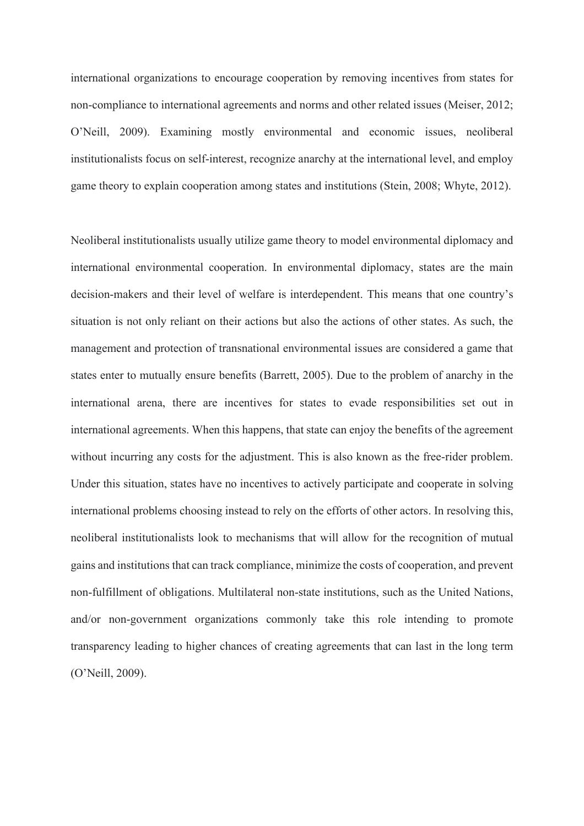international organizations to encourage cooperation by removing incentives from states for non-compliance to international agreements and norms and other related issues (Meiser, 2012; O'Neill, 2009). Examining mostly environmental and economic issues, neoliberal institutionalists focus on self-interest, recognize anarchy at the international level, and employ game theory to explain cooperation among states and institutions (Stein, 2008; Whyte, 2012).

Neoliberal institutionalists usually utilize game theory to model environmental diplomacy and international environmental cooperation. In environmental diplomacy, states are the main decision-makers and their level of welfare is interdependent. This means that one country's situation is not only reliant on their actions but also the actions of other states. As such, the management and protection of transnational environmental issues are considered a game that states enter to mutually ensure benefits (Barrett, 2005). Due to the problem of anarchy in the international arena, there are incentives for states to evade responsibilities set out in international agreements. When this happens, that state can enjoy the benefits of the agreement without incurring any costs for the adjustment. This is also known as the free-rider problem. Under this situation, states have no incentives to actively participate and cooperate in solving international problems choosing instead to rely on the efforts of other actors. In resolving this, neoliberal institutionalists look to mechanisms that will allow for the recognition of mutual gains and institutions that can track compliance, minimize the costs of cooperation, and prevent non-fulfillment of obligations. Multilateral non-state institutions, such as the United Nations, and/or non-government organizations commonly take this role intending to promote transparency leading to higher chances of creating agreements that can last in the long term (O'Neill, 2009).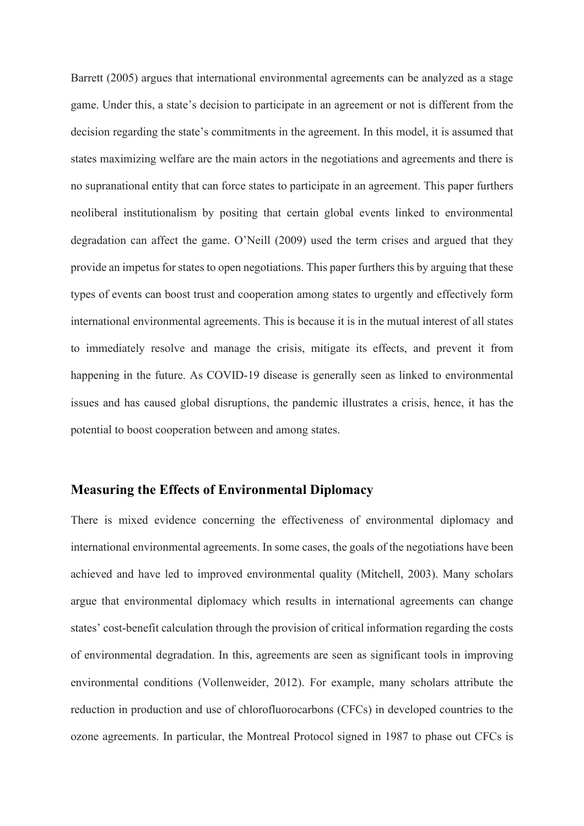Barrett (2005) argues that international environmental agreements can be analyzed as a stage game. Under this, a state's decision to participate in an agreement or not is different from the decision regarding the state's commitments in the agreement. In this model, it is assumed that states maximizing welfare are the main actors in the negotiations and agreements and there is no supranational entity that can force states to participate in an agreement. This paper furthers neoliberal institutionalism by positing that certain global events linked to environmental degradation can affect the game. O'Neill (2009) used the term crises and argued that they provide an impetus for states to open negotiations. This paper furthers this by arguing that these types of events can boost trust and cooperation among states to urgently and effectively form international environmental agreements. This is because it is in the mutual interest of all states to immediately resolve and manage the crisis, mitigate its effects, and prevent it from happening in the future. As COVID-19 disease is generally seen as linked to environmental issues and has caused global disruptions, the pandemic illustrates a crisis, hence, it has the potential to boost cooperation between and among states.

#### **Measuring the Effects of Environmental Diplomacy**

There is mixed evidence concerning the effectiveness of environmental diplomacy and international environmental agreements. In some cases, the goals of the negotiations have been achieved and have led to improved environmental quality (Mitchell, 2003). Many scholars argue that environmental diplomacy which results in international agreements can change states' cost-benefit calculation through the provision of critical information regarding the costs of environmental degradation. In this, agreements are seen as significant tools in improving environmental conditions (Vollenweider, 2012). For example, many scholars attribute the reduction in production and use of chlorofluorocarbons (CFCs) in developed countries to the ozone agreements. In particular, the Montreal Protocol signed in 1987 to phase out CFCs is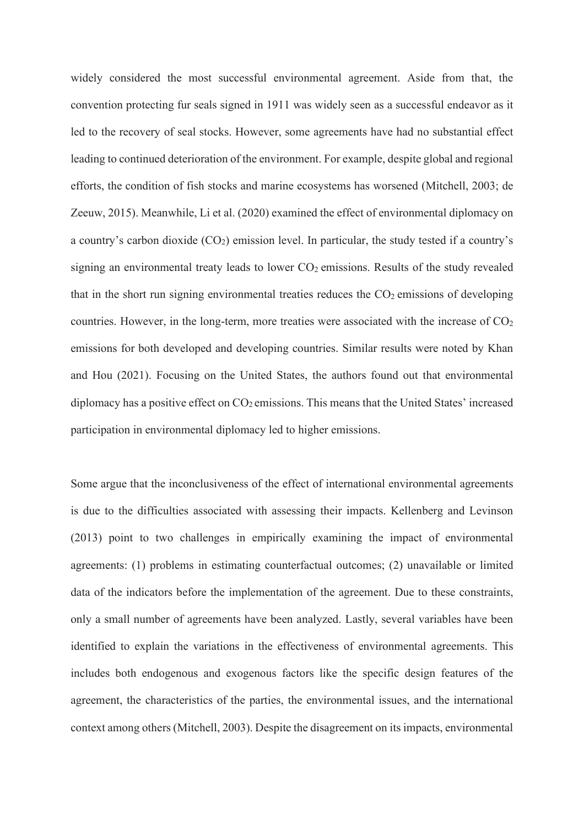widely considered the most successful environmental agreement. Aside from that, the convention protecting fur seals signed in 1911 was widely seen as a successful endeavor as it led to the recovery of seal stocks. However, some agreements have had no substantial effect leading to continued deterioration of the environment. For example, despite global and regional efforts, the condition of fish stocks and marine ecosystems has worsened (Mitchell, 2003; de Zeeuw, 2015). Meanwhile, Li et al. (2020) examined the effect of environmental diplomacy on a country's carbon dioxide (CO2) emission level. In particular, the study tested if a country's signing an environmental treaty leads to lower  $CO<sub>2</sub>$  emissions. Results of the study revealed that in the short run signing environmental treaties reduces the  $CO<sub>2</sub>$  emissions of developing countries. However, in the long-term, more treaties were associated with the increase of  $CO<sub>2</sub>$ emissions for both developed and developing countries. Similar results were noted by Khan and Hou (2021). Focusing on the United States, the authors found out that environmental diplomacy has a positive effect on  $CO<sub>2</sub>$  emissions. This means that the United States' increased participation in environmental diplomacy led to higher emissions.

Some argue that the inconclusiveness of the effect of international environmental agreements is due to the difficulties associated with assessing their impacts. Kellenberg and Levinson (2013) point to two challenges in empirically examining the impact of environmental agreements: (1) problems in estimating counterfactual outcomes; (2) unavailable or limited data of the indicators before the implementation of the agreement. Due to these constraints, only a small number of agreements have been analyzed. Lastly, several variables have been identified to explain the variations in the effectiveness of environmental agreements. This includes both endogenous and exogenous factors like the specific design features of the agreement, the characteristics of the parties, the environmental issues, and the international context among others (Mitchell, 2003). Despite the disagreement on its impacts, environmental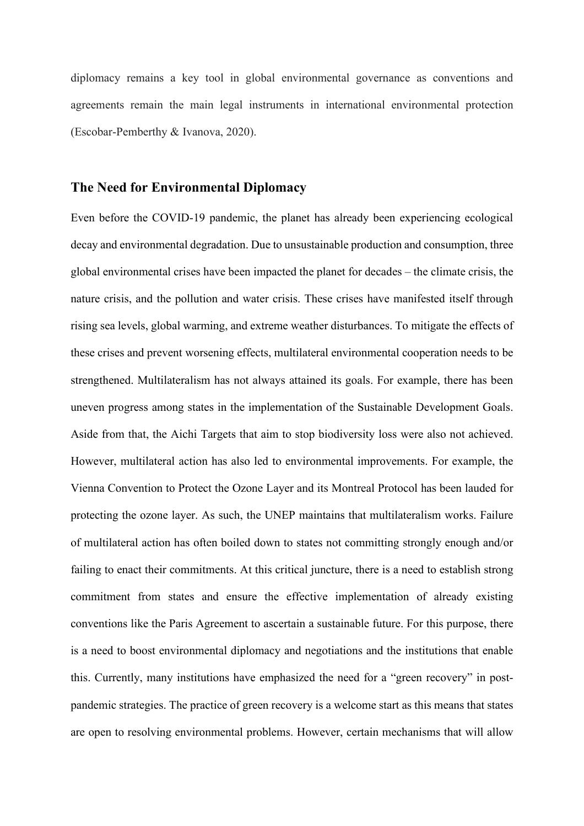diplomacy remains a key tool in global environmental governance as conventions and agreements remain the main legal instruments in international environmental protection (Escobar-Pemberthy & Ivanova, 2020).

## **The Need for Environmental Diplomacy**

Even before the COVID-19 pandemic, the planet has already been experiencing ecological decay and environmental degradation. Due to unsustainable production and consumption, three global environmental crises have been impacted the planet for decades – the climate crisis, the nature crisis, and the pollution and water crisis. These crises have manifested itself through rising sea levels, global warming, and extreme weather disturbances. To mitigate the effects of these crises and prevent worsening effects, multilateral environmental cooperation needs to be strengthened. Multilateralism has not always attained its goals. For example, there has been uneven progress among states in the implementation of the Sustainable Development Goals. Aside from that, the Aichi Targets that aim to stop biodiversity loss were also not achieved. However, multilateral action has also led to environmental improvements. For example, the Vienna Convention to Protect the Ozone Layer and its Montreal Protocol has been lauded for protecting the ozone layer. As such, the UNEP maintains that multilateralism works. Failure of multilateral action has often boiled down to states not committing strongly enough and/or failing to enact their commitments. At this critical juncture, there is a need to establish strong commitment from states and ensure the effective implementation of already existing conventions like the Paris Agreement to ascertain a sustainable future. For this purpose, there is a need to boost environmental diplomacy and negotiations and the institutions that enable this. Currently, many institutions have emphasized the need for a "green recovery" in postpandemic strategies. The practice of green recovery is a welcome start as this means that states are open to resolving environmental problems. However, certain mechanisms that will allow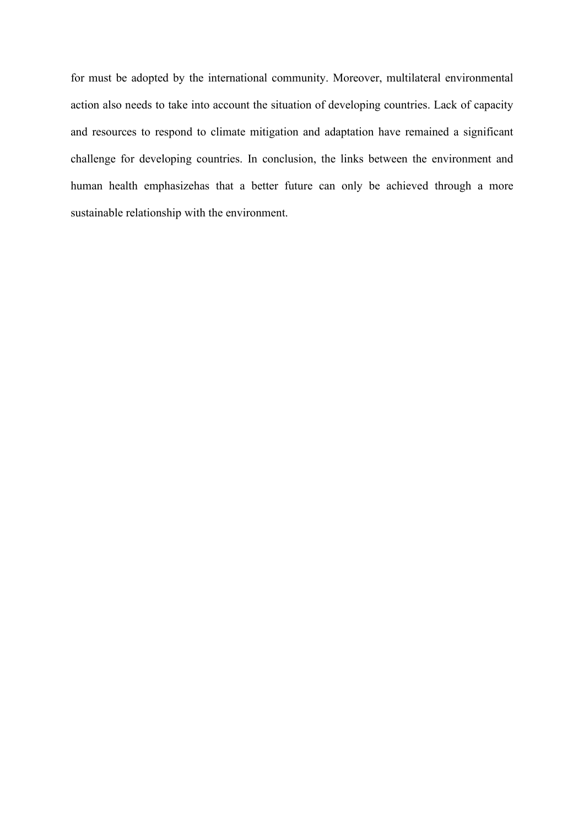for must be adopted by the international community. Moreover, multilateral environmental action also needs to take into account the situation of developing countries. Lack of capacity and resources to respond to climate mitigation and adaptation have remained a significant challenge for developing countries. In conclusion, the links between the environment and human health emphasizehas that a better future can only be achieved through a more sustainable relationship with the environment.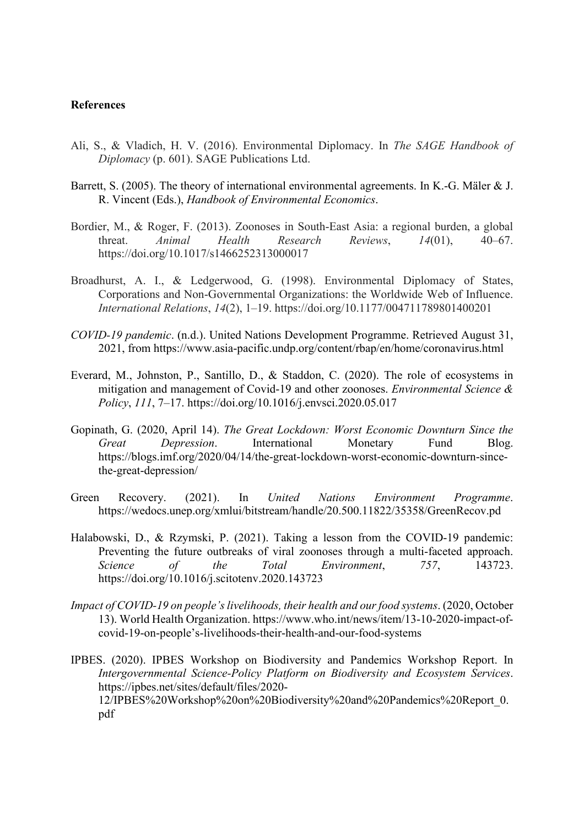#### **References**

- Ali, S., & Vladich, H. V. (2016). Environmental Diplomacy. In *The SAGE Handbook of Diplomacy* (p. 601). SAGE Publications Ltd.
- Barrett, S. (2005). The theory of international environmental agreements. In K.-G. Mäler & J. R. Vincent (Eds.), *Handbook of Environmental Economics*.
- Bordier, M., & Roger, F. (2013). Zoonoses in South-East Asia: a regional burden, a global threat. *Animal Health Research Reviews*, *14*(01), 40–67. https://doi.org/10.1017/s1466252313000017
- Broadhurst, A. I., & Ledgerwood, G. (1998). Environmental Diplomacy of States, Corporations and Non-Governmental Organizations: the Worldwide Web of Influence. *International Relations*, *14*(2), 1–19. https://doi.org/10.1177/004711789801400201
- *COVID-19 pandemic*. (n.d.). United Nations Development Programme. Retrieved August 31, 2021, from https://www.asia-pacific.undp.org/content/rbap/en/home/coronavirus.html
- Everard, M., Johnston, P., Santillo, D., & Staddon, C. (2020). The role of ecosystems in mitigation and management of Covid-19 and other zoonoses. *Environmental Science & Policy*, *111*, 7–17. https://doi.org/10.1016/j.envsci.2020.05.017
- Gopinath, G. (2020, April 14). *The Great Lockdown: Worst Economic Downturn Since the Great Depression*. International Monetary Fund Blog. https://blogs.imf.org/2020/04/14/the-great-lockdown-worst-economic-downturn-sincethe-great-depression/
- Green Recovery. (2021). In *United Nations Environment Programme*. https://wedocs.unep.org/xmlui/bitstream/handle/20.500.11822/35358/GreenRecov.pd
- Halabowski, D., & Rzymski, P. (2021). Taking a lesson from the COVID-19 pandemic: Preventing the future outbreaks of viral zoonoses through a multi-faceted approach. *Science of the Total Environment*, *757*, 143723. https://doi.org/10.1016/j.scitotenv.2020.143723
- *Impact of COVID-19 on people's livelihoods, their health and our food systems*. (2020, October 13). World Health Organization. https://www.who.int/news/item/13-10-2020-impact-ofcovid-19-on-people's-livelihoods-their-health-and-our-food-systems
- IPBES. (2020). IPBES Workshop on Biodiversity and Pandemics Workshop Report. In *Intergovernmental Science-Policy Platform on Biodiversity and Ecosystem Services*. https://ipbes.net/sites/default/files/2020- 12/IPBES%20Workshop%20on%20Biodiversity%20and%20Pandemics%20Report\_0. pdf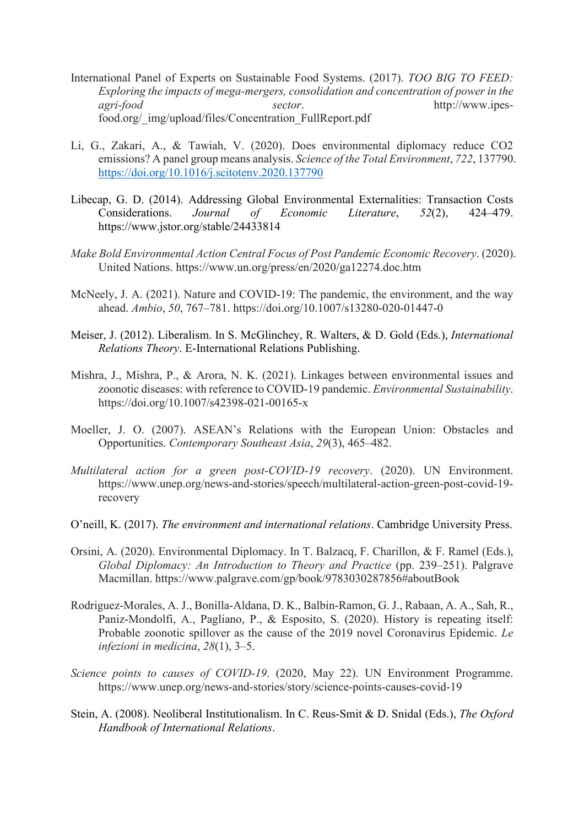- International Panel of Experts on Sustainable Food Systems. (2017). *TOO BIG TO FEED: Exploring the impacts of mega-mergers, consolidation and concentration of power in the agri-food sector*. http://www.ipesfood.org/\_img/upload/files/Concentration\_FullReport.pdf
- Li, G., Zakari, A., & Tawiah, V. (2020). Does environmental diplomacy reduce CO2 emissions? A panel group means analysis. *Science of the Total Environment*, *722*, 137790. <https://doi.org/10.1016/j.scitotenv.2020.137790>
- Libecap, G. D. (2014). Addressing Global Environmental Externalities: Transaction Costs<br>Considerations. Journal of Economic Literature, 52(2), 424–479. Considerations. *Journal of Economic Literature*, *52*(2), 424–479. https://www.jstor.org/stable/24433814
- *Make Bold Environmental Action Central Focus of Post Pandemic Economic Recovery*. (2020). United Nations. https://www.un.org/press/en/2020/ga12274.doc.htm
- McNeely, J. A. (2021). Nature and COVID-19: The pandemic, the environment, and the way ahead. *Ambio*, *50*, 767–781. https://doi.org/10.1007/s13280-020-01447-0
- Meiser, J. (2012). Liberalism. In S. McGlinchey, R. Walters, & D. Gold (Eds.), *International Relations Theory*. E-International Relations Publishing.
- Mishra, J., Mishra, P., & Arora, N. K. (2021). Linkages between environmental issues and zoonotic diseases: with reference to COVID-19 pandemic. *Environmental Sustainability*. https://doi.org/10.1007/s42398-021-00165-x
- Moeller, J. O. (2007). ASEAN's Relations with the European Union: Obstacles and Opportunities. *Contemporary Southeast Asia*, *29*(3), 465–482.
- *Multilateral action for a green post-COVID-19 recovery*. (2020). UN Environment. https://www.unep.org/news-and-stories/speech/multilateral-action-green-post-covid-19 recovery
- O'neill, K. (2017). *The environment and international relations*. Cambridge University Press.
- Orsini, A. (2020). Environmental Diplomacy. In T. Balzacq, F. Charillon, & F. Ramel (Eds.), *Global Diplomacy: An Introduction to Theory and Practice* (pp. 239–251). Palgrave Macmillan. https://www.palgrave.com/gp/book/9783030287856#aboutBook
- Rodriguez-Morales, A. J., Bonilla-Aldana, D. K., Balbin-Ramon, G. J., Rabaan, A. A., Sah, R., Paniz-Mondolfi, A., Pagliano, P., & Esposito, S. (2020). History is repeating itself: Probable zoonotic spillover as the cause of the 2019 novel Coronavirus Epidemic. *Le infezioni in medicina*, *28*(1), 3–5.
- *Science points to causes of COVID-19*. (2020, May 22). UN Environment Programme. https://www.unep.org/news-and-stories/story/science-points-causes-covid-19
- Stein, A. (2008). Neoliberal Institutionalism. In C. Reus-Smit & D. Snidal (Eds.), *The Oxford Handbook of International Relations*.